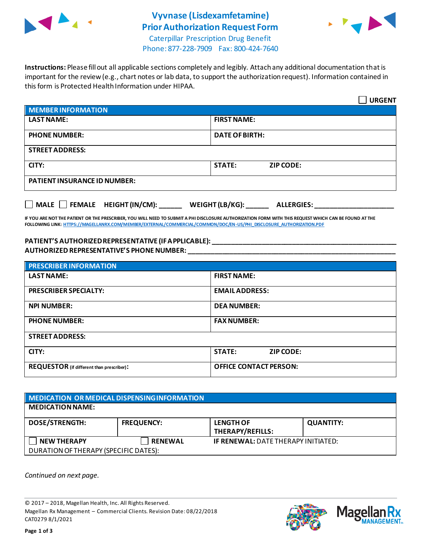

## **Vyvnase (Lisdexamfetamine) Prior Authorization Request Form**



Caterpillar Prescription Drug Benefit Phone: 877-228-7909 Fax: 800-424-7640

**Instructions:** Please fill out all applicable sections completely and legibly. Attach any additional documentation that is important for the review (e.g., chart notes or lab data, to support the authorization request). Information contained in this form is Protected Health Information under HIPAA.

|                                           | <b>URGENT</b>                        |  |  |
|-------------------------------------------|--------------------------------------|--|--|
| <b>MEMBER INFORMATION</b>                 |                                      |  |  |
| <b>LAST NAME:</b>                         | <b>FIRST NAME:</b>                   |  |  |
| <b>PHONE NUMBER:</b>                      | <b>DATE OF BIRTH:</b>                |  |  |
| <b>STREET ADDRESS:</b>                    |                                      |  |  |
| CITY:                                     | <b>STATE:</b><br><b>ZIP CODE:</b>    |  |  |
| <b>PATIENT INSURANCE ID NUMBER:</b>       |                                      |  |  |
| $\Box$ MALE $\Box$ FEMALE HEIGHT (IN/CM): | WEIGHT (LB/KG):<br><b>ALLERGIES:</b> |  |  |

**IF YOU ARE NOT THE PATIENT OR THE PRESCRIBER, YOU WILL NEED TO SUBMIT A PHI DISCLOSURE AUTHORIZATION FORM WITH THIS REQUEST WHICH CAN BE FOUND AT THE FOLLOWING LINK[: HTTPS://MAGELLANRX.COM/MEMBER/EXTERNAL/COMMERCIAL/COMMON/DOC/EN-US/PHI\\_DISCLOSURE\\_AUTHORIZATION.PDF](https://magellanrx.com/member/external/commercial/common/doc/en-us/PHI_Disclosure_Authorization.pdf)**

## **PATIENT'S AUTHORIZED REPRESENTATIVE (IF APPLICABLE): \_\_\_\_\_\_\_\_\_\_\_\_\_\_\_\_\_\_\_\_\_\_\_\_\_\_\_\_\_\_\_\_\_\_\_\_\_\_\_\_\_\_\_\_\_\_\_\_\_ AUTHORIZED REPRESENTATIVE'S PHONE NUMBER: \_\_\_\_\_\_\_\_\_\_\_\_\_\_\_\_\_\_\_\_\_\_\_\_\_\_\_\_\_\_\_\_\_\_\_\_\_\_\_\_\_\_\_\_\_\_\_\_\_\_\_\_\_\_\_**

| <b>PRESCRIBER INFORMATION</b>             |                               |  |  |
|-------------------------------------------|-------------------------------|--|--|
| <b>LAST NAME:</b>                         | <b>FIRST NAME:</b>            |  |  |
| <b>PRESCRIBER SPECIALTY:</b>              | <b>EMAIL ADDRESS:</b>         |  |  |
| <b>NPI NUMBER:</b>                        | <b>DEA NUMBER:</b>            |  |  |
| <b>PHONE NUMBER:</b>                      | <b>FAX NUMBER:</b>            |  |  |
| <b>STREET ADDRESS:</b>                    |                               |  |  |
| CITY:                                     | <b>STATE:</b><br>ZIP CODE:    |  |  |
| REQUESTOR (if different than prescriber): | <b>OFFICE CONTACT PERSON:</b> |  |  |

| MEDICATION OR MEDICAL DISPENSING INFORMATION |                   |                                             |                  |  |  |
|----------------------------------------------|-------------------|---------------------------------------------|------------------|--|--|
| <b>MEDICATION NAME:</b>                      |                   |                                             |                  |  |  |
| <b>DOSE/STRENGTH:</b>                        | <b>FREQUENCY:</b> | <b>LENGTH OF</b><br><b>THERAPY/REFILLS:</b> | <b>QUANTITY:</b> |  |  |
| <b>NEW THERAPY</b>                           | <b>RENEWAL</b>    | <b>IF RENEWAL: DATE THERAPY INITIATED:</b>  |                  |  |  |
| DURATION OF THERAPY (SPECIFIC DATES):        |                   |                                             |                  |  |  |

*Continued on next page.*

© 2017 – 2018, Magellan Health, Inc. All Rights Reserved. Magellan Rx Management – Commercial Clients. Revision Date: 08/22/2018 CAT0279 8/1/2021



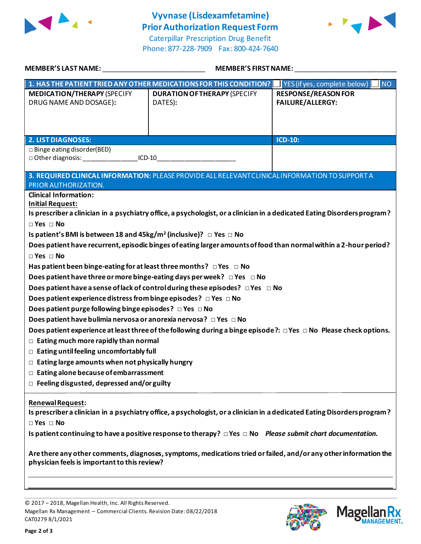

## **Vyvnase (Lisdexamfetamine) Prior Authorization Request Form**

Caterpillar Prescription Drug Benefit Phone: 877-228-7909 Fax: 800-424-7640



| <b>MEMBER'S LAST NAME:</b>                                                                                                                                       | <b>MEMBER'S FIRST NAME:</b>                                                                                              |                                           |  |  |  |
|------------------------------------------------------------------------------------------------------------------------------------------------------------------|--------------------------------------------------------------------------------------------------------------------------|-------------------------------------------|--|--|--|
|                                                                                                                                                                  | 1. HAS THE PATIENT TRIED ANY OTHER MEDICATIONS FOR THIS CONDITION?                                                       | <b>NO</b><br>YES (if yes, complete below) |  |  |  |
| <b>MEDICATION/THERAPY (SPECIFY</b>                                                                                                                               | <b>DURATION OF THERAPY (SPECIFY</b>                                                                                      | <b>RESPONSE/REASON FOR</b>                |  |  |  |
| DRUG NAME AND DOSAGE):                                                                                                                                           | DATES):                                                                                                                  | <b>FAILURE/ALLERGY:</b>                   |  |  |  |
|                                                                                                                                                                  |                                                                                                                          |                                           |  |  |  |
|                                                                                                                                                                  |                                                                                                                          |                                           |  |  |  |
| <b>2. LIST DIAGNOSES:</b>                                                                                                                                        |                                                                                                                          | <b>ICD-10:</b>                            |  |  |  |
| $\Box$ Binge eating disorder(BED)<br>$ICD-10$                                                                                                                    |                                                                                                                          |                                           |  |  |  |
|                                                                                                                                                                  |                                                                                                                          |                                           |  |  |  |
|                                                                                                                                                                  | 3. REQUIRED CLINICAL INFORMATION: PLEASE PROVIDE ALL RELEVANT CLINICAL INFORMATION TO SUPPORT A                          |                                           |  |  |  |
| PRIOR AUTHORIZATION.                                                                                                                                             |                                                                                                                          |                                           |  |  |  |
| <b>Clinical Information:</b><br><b>Initial Request:</b>                                                                                                          |                                                                                                                          |                                           |  |  |  |
|                                                                                                                                                                  | Is prescriber a clinician in a psychiatry office, a psychologist, or a clinician in a dedicated Eating Disordersprogram? |                                           |  |  |  |
| $\Box$ Yes $\Box$ No                                                                                                                                             |                                                                                                                          |                                           |  |  |  |
| Is patient's BMI is between 18 and 45kg/m <sup>2</sup> (inclusive)? $\Box$ Yes $\Box$ No                                                                         |                                                                                                                          |                                           |  |  |  |
|                                                                                                                                                                  | Does patient have recurrent, episodic binges of eating larger amounts of food than normal within a 2-hour period?        |                                           |  |  |  |
| $\Box$ Yes $\Box$ No                                                                                                                                             |                                                                                                                          |                                           |  |  |  |
| Has patient been binge-eating for at least three months? $\Box$ Yes $\Box$ No                                                                                    |                                                                                                                          |                                           |  |  |  |
| Does patient have three or more binge-eating days per week? $\Box$ Yes $\Box$ No                                                                                 |                                                                                                                          |                                           |  |  |  |
|                                                                                                                                                                  | Does patient have a sense of lack of control during these episodes? $\Box$ Yes $\Box$ No                                 |                                           |  |  |  |
| Does patient experience distress from binge episodes? $\Box$ Yes $\Box$ No                                                                                       |                                                                                                                          |                                           |  |  |  |
| Does patient purge following binge episodes? $\Box$ Yes $\Box$ No                                                                                                |                                                                                                                          |                                           |  |  |  |
| Does patient have bulimia nervosa or anorexia nervosa? □ Yes □ No                                                                                                |                                                                                                                          |                                           |  |  |  |
| Does patient experience at least three of the following during a binge episode?: $\Box$ Yes $\Box$ No Please check options.                                      |                                                                                                                          |                                           |  |  |  |
| $\Box$ Eating much more rapidly than normal                                                                                                                      |                                                                                                                          |                                           |  |  |  |
| $\Box$ Eating until feeling uncomfortably full                                                                                                                   |                                                                                                                          |                                           |  |  |  |
| $\Box$ Eating large amounts when not physically hungry<br>$\Box$ Eating alone because of embarrassment                                                           |                                                                                                                          |                                           |  |  |  |
| $\Box$ Feeling disgusted, depressed and/or guilty                                                                                                                |                                                                                                                          |                                           |  |  |  |
|                                                                                                                                                                  |                                                                                                                          |                                           |  |  |  |
| <b>Renewal Request:</b>                                                                                                                                          |                                                                                                                          |                                           |  |  |  |
| Is prescriber a clinician in a psychiatry office, a psychologist, or a clinician in a dedicated Eating Disordersprogram?                                         |                                                                                                                          |                                           |  |  |  |
| $\Box$ Yes $\Box$ No                                                                                                                                             |                                                                                                                          |                                           |  |  |  |
| Is patient continuing to have a positive response to therapy? $\Box$ Yes $\Box$ No Please submit chart documentation.                                            |                                                                                                                          |                                           |  |  |  |
|                                                                                                                                                                  |                                                                                                                          |                                           |  |  |  |
| Are there any other comments, diagnoses, symptoms, medications tried or failed, and/or any other information the<br>physician feels is important to this review? |                                                                                                                          |                                           |  |  |  |

© 2017 – 2018, Magellan Health, Inc. All Rights Reserved. Magellan Rx Management – Commercial Clients. Revision Date: 08/22/2018 CAT0279 8/1/2021